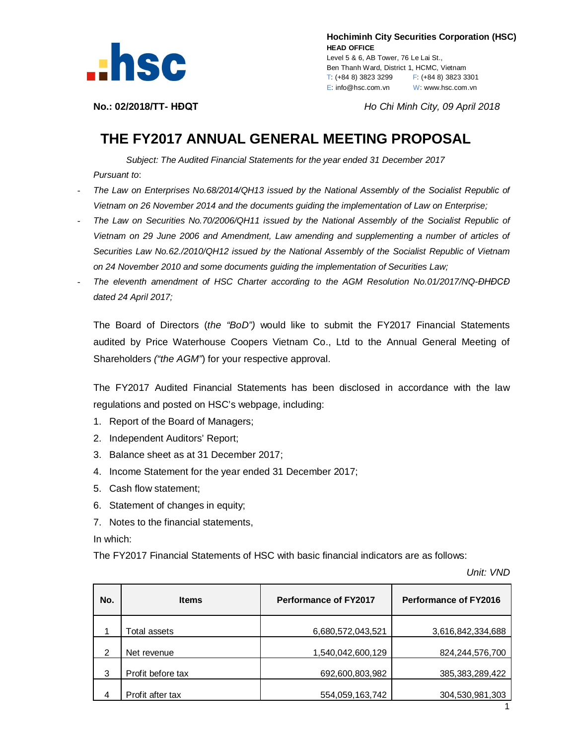

 **Hochiminh City Securities Corporation (HSC) HEAD OFFICE** Level 5 & 6, AB Tower, 76 Le Lai St., Ben Thanh Ward, District 1, HCMC, Vietnam T: (+84 8) 3823 3299 F: (+84 8) 3823 3301 E: info@hsc.com.vn W: www.hsc.com.vn

**No.: 02/2018/TT- HĐQT** *Ho Chi Minh City, 09 April 2018*

## **THE FY2017 ANNUAL GENERAL MEETING PROPOSAL**

*Subject: The Audited Financial Statements for the year ended 31 December 2017 Pursuant to*:

- *The Law on Enterprises No.68/2014/QH13 issued by the National Assembly of the Socialist Republic of Vietnam on 26 November 2014 and the documents guiding the implementation of Law on Enterprise;*
- *The Law on Securities No.70/2006/QH11 issued by the National Assembly of the Socialist Republic of Vietnam on 29 June 2006 and Amendment, Law amending and supplementing a number of articles of Securities Law No.62./2010/QH12 issued by the National Assembly of the Socialist Republic of Vietnam on 24 November 2010 and some documents guiding the implementation of Securities Law;*
- *The eleventh amendment of HSC Charter according to the AGM Resolution No.01/2017/NQ-ĐHĐCĐ dated 24 April 2017;*

The Board of Directors (*the "BoD")* would like to submit the FY2017 Financial Statements audited by Price Waterhouse Coopers Vietnam Co., Ltd to the Annual General Meeting of Shareholders *("the AGM"*) for your respective approval.

The FY2017 Audited Financial Statements has been disclosed in accordance with the law regulations and posted on HSC's webpage, including:

- 1. Report of the Board of Managers;
- 2. Independent Auditors' Report;
- 3. Balance sheet as at 31 December 2017;
- 4. Income Statement for the year ended 31 December 2017;
- 5. Cash flow statement;
- 6. Statement of changes in equity;
- 7. Notes to the financial statements,

In which:

The FY2017 Financial Statements of HSC with basic financial indicators are as follows:

*Unit: VND*

| No. | <b>Items</b>      | <b>Performance of FY2017</b> | Performance of FY2016 |
|-----|-------------------|------------------------------|-----------------------|
|     | Total assets      | 6,680,572,043,521            | 3,616,842,334,688     |
| 2   | Net revenue       | 1,540,042,600,129            | 824, 244, 576, 700    |
| 3   | Profit before tax | 692,600,803,982              | 385, 383, 289, 422    |
| 4   | Profit after tax  | 554,059,163,742              | 304,530,981,303       |